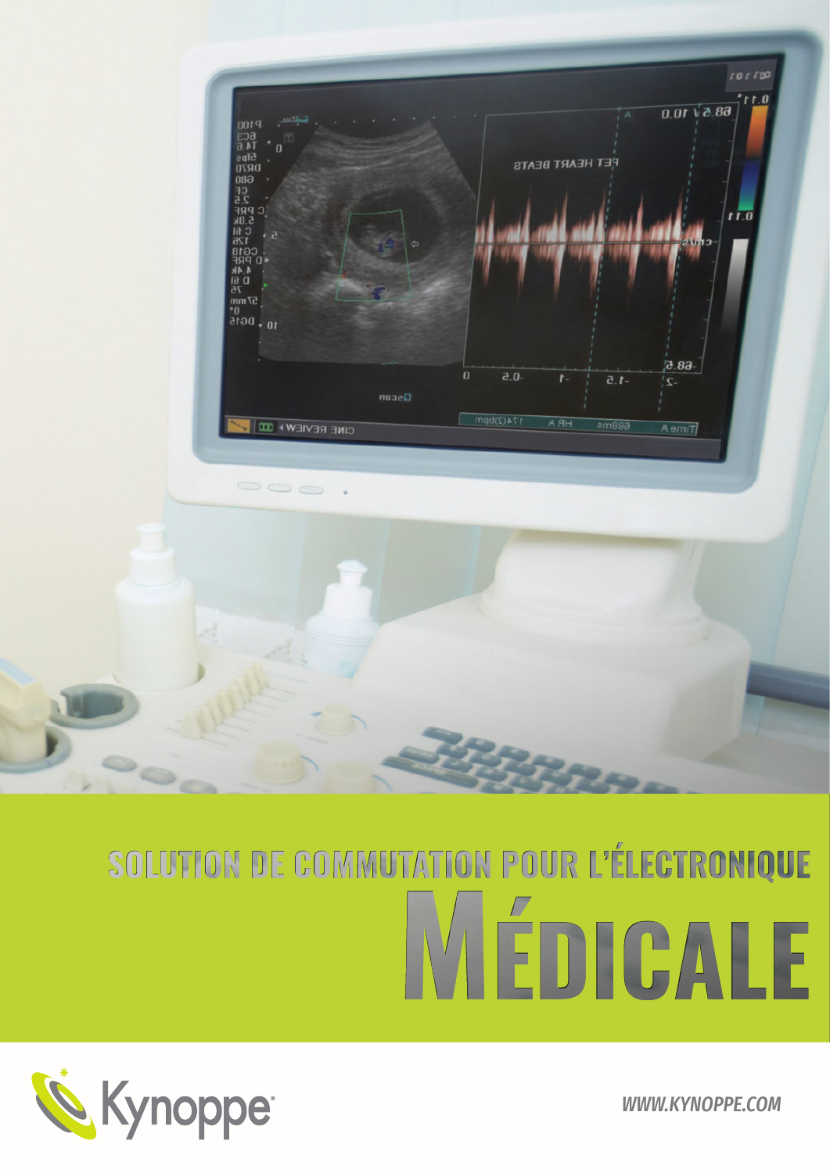

**WWW.KYNOPPE.COM** 

# SOLUTION DE COMMUTATION POUR L'ÉLECTRONIQUE TEDICALE

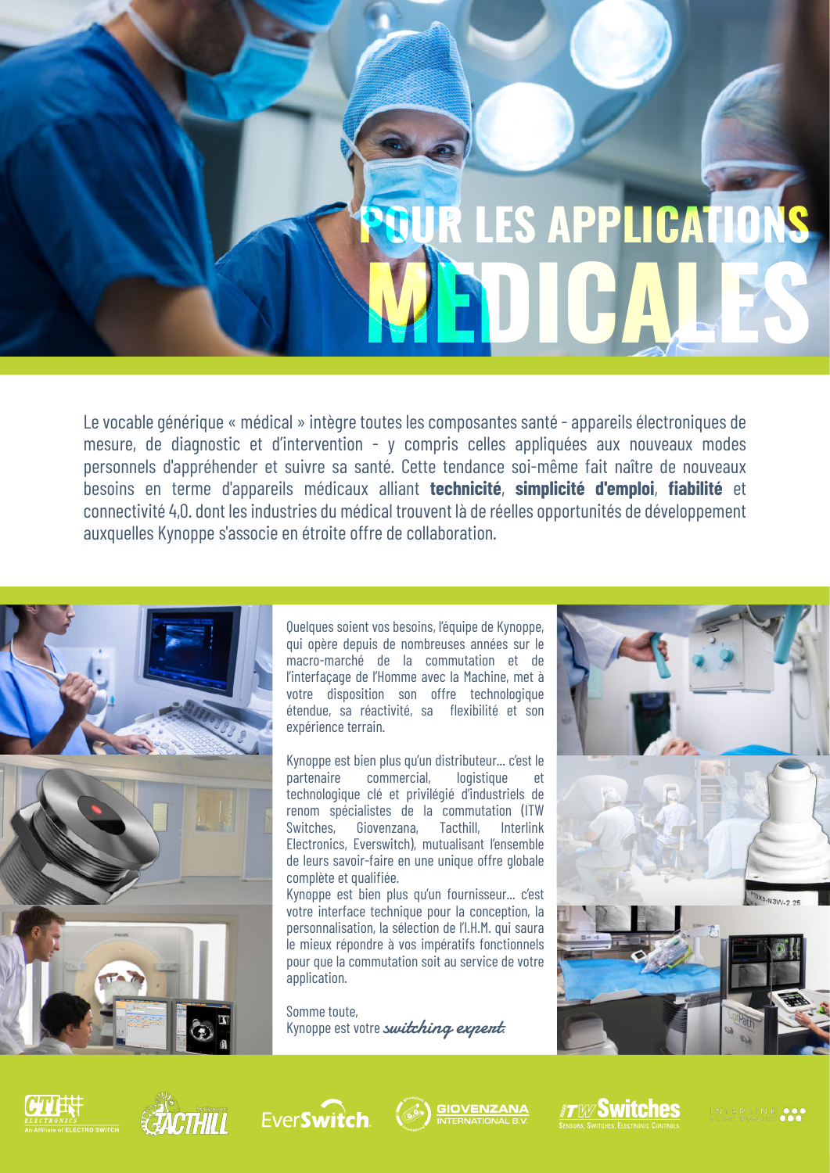# UR LES APPLICATIONS

Le vocable générique « médical » intègre toutes les composantes santé - appareils électroniques de mesure, de diagnostic et d'intervention - y compris celles appliquées aux nouveaux modes personnels d'appréhender et suivre sa santé. Cette tendance soi-même fait naître de nouveaux besoins en terme d'appareils médicaux alliant technicité, simplicité d'emploi, fiabilité et connectivité 4,0, dont les industries du médical trouvent là de réelles opportunités de développement auxquelles Kynoppe s'associe en étroite offre de collaboration.



Quelques soient vos besoins, l'équipe de Kynoppe, qui opère depuis de nombreuses années sur le macro-marché de la commutation et de l'interfaçage de l'Homme avec la Machine, met à votre disposition son offre technologique étendue, sa réactivité, sa flexibilité et son expérience terrain.

Kynoppe est bien plus qu'un distributeur... c'est le commercial, logistique nartenaire  $\rho t$ technologique clé et privilégié d'industriels de renom spécialistes de la commutation (ITW Switches, Giovenzana, Tacthill, Interlink Electronics, Everswitch), mutualisant l'ensemble de leurs savoir-faire en une unique offre globale complète et qualifiée.

Kynoppe est bien plus qu'un fournisseur... c'est votre interface technique pour la conception, la personnalisation, la sélection de l'I.H.M. qui saura le mieux répondre à vos impératifs fonctionnels pour que la commutation soit au service de votre application.

Somme toute, Kynoppe est votre switching expent.













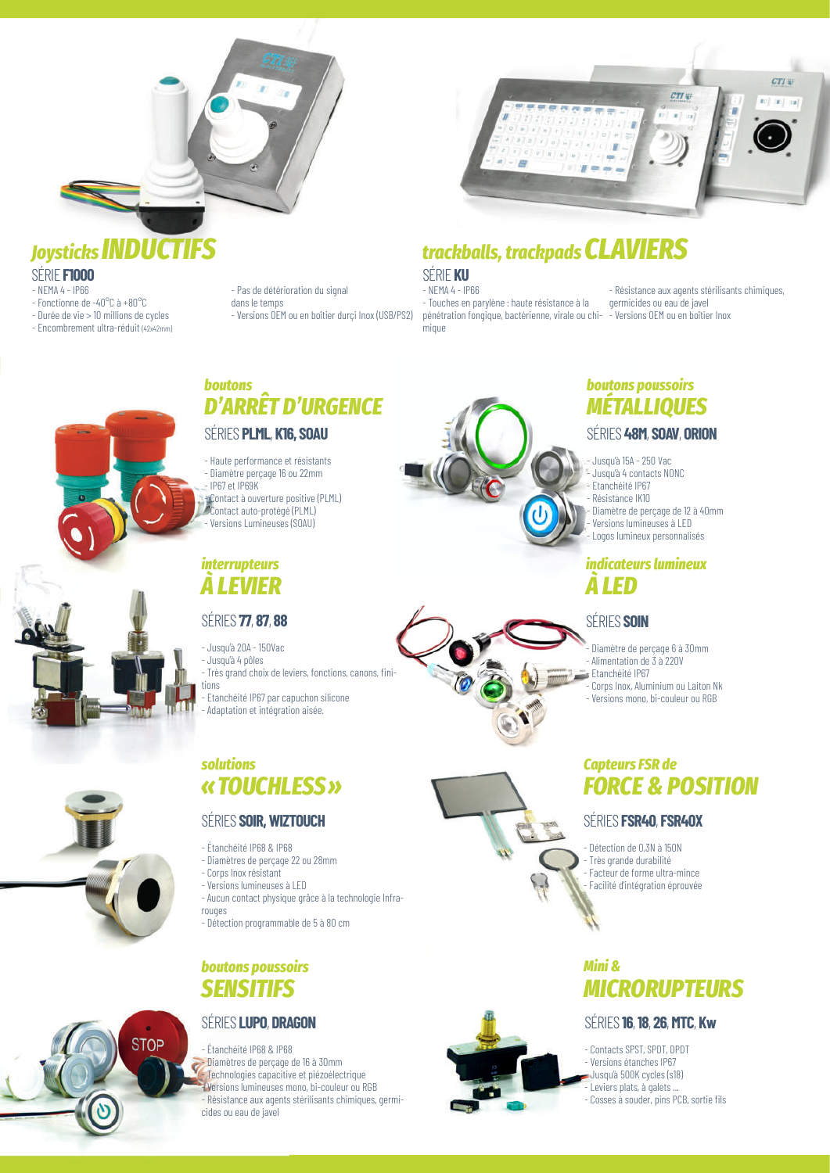

### **Joysticks INDUCTIFS**

SÉRIE FIOOO

- $-$  NFMA 4 IP66
- Fonctionne de -40 $^{\circ}$ C à +80 $^{\circ}$ C - Durée de vie > 10 millions de cycles
- Encombrement ultra-réduit (42x42mm)

- Pas de détérioration du signal dans le temns - Versions OEM ou en boîtier durci Inox (USB/PS2)



# trackballs, trackpads **CLAVIERS**

#### SÉRIF KU

 $-$  NEMA 4 - IP66 - Touches en parylène : haute résistance à la pénétration fongique, bactérienne, virale ou chi- - Versions OEM ou en boîtier Inox mique

- Résistance aux agents stérilisants chimiques. germicides ou eau de javel



# **D'ARRÊT D'URGENCE** SÉRIES PLML, K16, SOAU

- Haute performance et résistants - Diamètre percage 16 ou 22mm IP67 et IP69K -vContact à ouverture positive (PLML)<br>//e Contact auto-protégé (PLML) Versions Lumineuses (SOAU)

#### *interrupteurs* **A LEVIER**

**boutons** 

#### **SÉRIES 77.87.88**

- Jusqu'à 20A - 150Vac - Jusqu'à 4 pôles - Très grand choix de leviers, fonctions, canons, finitinns Etanchéité IP67 par capuchon silicone

- Adaptation et intégration aisée.

#### solutions «TOUCHLESS»

#### **SÉRIES SOIR, WIZTOUCH**

- Étanchéité IP68 & IP68
- Diamètres de perçage 22 ou 28mm
- Corps Inox résistant
- Versions lumineuses à LED
- Aucun contact physique grâce à la technologie Infrarouges
- Détection programmable de 5 à 80 cm

#### **boutons poussoirs SENSITIFS**

#### **SÉRIES LUPO, DRAGON**

**STOP** 

- Étanchéité IP68 & IP68 - Diamètres de perçage de 16 à 30mm ¢ Technologies capacitive et piézoélectrique Versions lumineuses mono, bi-couleur ou RGB - Résistance aux agents stérilisants chimiques, germicides ou eau de javel



#### **boutons poussoirs MÉTALLIQUES**

#### SÉRIES 48M, SOAV, ORION

- Jusqu'à 15A 250 Vac
- Jusqu'à 4 contacts NONC
- Ftanchéité IP67
- Résistance IK10
- Diamètre de perçage de 12 à 40mm
- Versions lumineuses à LED Logos lumineux personnalisés

#### *indicateurs lumineux* **A LED**



#### SÉRIES SOIN

- Diamètre de perçage 6 à 30mm
- Alimentation de 3 à 220V
- Etanchéité IP67
- Corns Inox, Aluminium ou Laiton Nk
- Versions mono, bi-couleur ou RGB

#### **Capteurs FSR de FORCE & POSITION**

#### SÉRIES FSR40, FSR40X

Détection de 0,3N à 150N Très grande durabilité Facteur de forme ultra-mince Facilité d'intégration éprouvée

#### Mini & **MICRORUPTEURS**

#### SÉRIES 16, 18, 26, MTC, Kw

- Contacts SPST, SPDT, DPDT Versions étanches IP67 Jusqu'à 500K cycles (s18)
- Leviers plats, à galets ...
- Cosses à souder, pins PCB, sortie fils